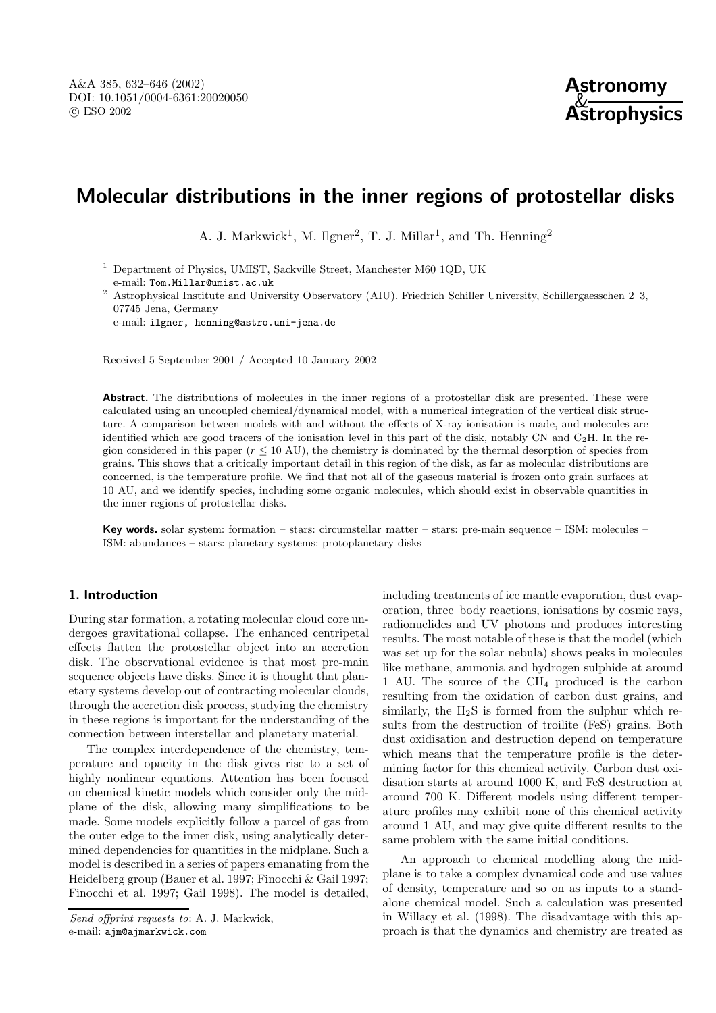# **Molecular distributions in the inner regions of protostellar disks**

A. J. Markwick<sup>1</sup>, M. Ilgner<sup>2</sup>, T. J. Millar<sup>1</sup>, and Th. Henning<sup>2</sup>

<sup>1</sup> Department of Physics, UMIST, Sackville Street, Manchester M60 1QD, UK e-mail: Tom.Millar@umist.ac.uk

 $^2\,$  Astrophysical Institute and University Observatory (AIU), Friedrich Schiller University, Schillergaesschen 2–3, 07745 Jena, Germany

e-mail: ilgner, henning@astro.uni-jena.de

Received 5 September 2001 / Accepted 10 January 2002

**Abstract.** The distributions of molecules in the inner regions of a protostellar disk are presented. These were calculated using an uncoupled chemical/dynamical model, with a numerical integration of the vertical disk structure. A comparison between models with and without the effects of X-ray ionisation is made, and molecules are identified which are good tracers of the ionisation level in this part of the disk, notably CN and C2H. In the region considered in this paper ( $r \leq 10$  AU), the chemistry is dominated by the thermal desorption of species from grains. This shows that a critically important detail in this region of the disk, as far as molecular distributions are concerned, is the temperature profile. We find that not all of the gaseous material is frozen onto grain surfaces at 10 AU, and we identify species, including some organic molecules, which should exist in observable quantities in the inner regions of protostellar disks.

**Key words.** solar system: formation – stars: circumstellar matter – stars: pre-main sequence – ISM: molecules – ISM: abundances – stars: planetary systems: protoplanetary disks

## **1. Introduction**

During star formation, a rotating molecular cloud core undergoes gravitational collapse. The enhanced centripetal effects flatten the protostellar object into an accretion disk. The observational evidence is that most pre-main sequence objects have disks. Since it is thought that planetary systems develop out of contracting molecular clouds, through the accretion disk process, studying the chemistry in these regions is important for the understanding of the connection between interstellar and planetary material.

The complex interdependence of the chemistry, temperature and opacity in the disk gives rise to a set of highly nonlinear equations. Attention has been focused on chemical kinetic models which consider only the midplane of the disk, allowing many simplifications to be made. Some models explicitly follow a parcel of gas from the outer edge to the inner disk, using analytically determined dependencies for quantities in the midplane. Such a model is described in a series of papers emanating from the Heidelberg group (Bauer et al. 1997; Finocchi & Gail 1997; Finocchi et al. 1997; Gail 1998). The model is detailed,

Send offprint requests to: A. J. Markwick, e-mail: ajm@ajmarkwick.com

including treatments of ice mantle evaporation, dust evaporation, three–body reactions, ionisations by cosmic rays, radionuclides and UV photons and produces interesting results. The most notable of these is that the model (which was set up for the solar nebula) shows peaks in molecules like methane, ammonia and hydrogen sulphide at around 1 AU. The source of the CH<sup>4</sup> produced is the carbon resulting from the oxidation of carbon dust grains, and similarly, the  $H_2S$  is formed from the sulphur which results from the destruction of troilite (FeS) grains. Both dust oxidisation and destruction depend on temperature which means that the temperature profile is the determining factor for this chemical activity. Carbon dust oxidisation starts at around 1000 K, and FeS destruction at around 700 K. Different models using different temperature profiles may exhibit none of this chemical activity around 1 AU, and may give quite different results to the same problem with the same initial conditions.

An approach to chemical modelling along the midplane is to take a complex dynamical code and use values of density, temperature and so on as inputs to a standalone chemical model. Such a calculation was presented in Willacy et al. (1998). The disadvantage with this approach is that the dynamics and chemistry are treated as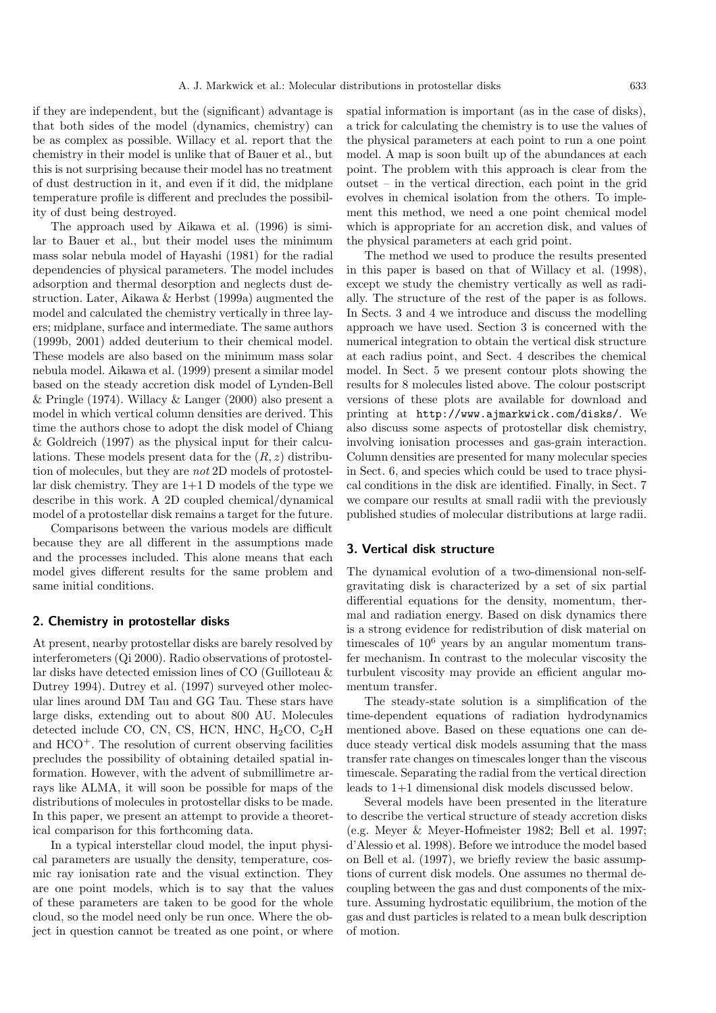if they are independent, but the (significant) advantage is that both sides of the model (dynamics, chemistry) can be as complex as possible. Willacy et al. report that the chemistry in their model is unlike that of Bauer et al., but this is not surprising because their model has no treatment of dust destruction in it, and even if it did, the midplane temperature profile is different and precludes the possibility of dust being destroyed.

The approach used by Aikawa et al. (1996) is similar to Bauer et al., but their model uses the minimum mass solar nebula model of Hayashi (1981) for the radial dependencies of physical parameters. The model includes adsorption and thermal desorption and neglects dust destruction. Later, Aikawa & Herbst (1999a) augmented the model and calculated the chemistry vertically in three layers; midplane, surface and intermediate. The same authors (1999b, 2001) added deuterium to their chemical model. These models are also based on the minimum mass solar nebula model. Aikawa et al. (1999) present a similar model based on the steady accretion disk model of Lynden-Bell & Pringle (1974). Willacy & Langer (2000) also present a model in which vertical column densities are derived. This time the authors chose to adopt the disk model of Chiang & Goldreich (1997) as the physical input for their calculations. These models present data for the  $(R, z)$  distribution of molecules, but they are not 2D models of protostellar disk chemistry. They are  $1+1$  D models of the type we describe in this work. A 2D coupled chemical/dynamical model of a protostellar disk remains a target for the future.

Comparisons between the various models are difficult because they are all different in the assumptions made and the processes included. This alone means that each model gives different results for the same problem and same initial conditions.

#### **2. Chemistry in protostellar disks**

At present, nearby protostellar disks are barely resolved by interferometers (Qi 2000). Radio observations of protostellar disks have detected emission lines of CO (Guilloteau & Dutrey 1994). Dutrey et al. (1997) surveyed other molecular lines around DM Tau and GG Tau. These stars have large disks, extending out to about 800 AU. Molecules detected include CO, CN, CS, HCN, HNC,  $H_2CO$ ,  $C_2H$ and  $HCO<sup>+</sup>$ . The resolution of current observing facilities precludes the possibility of obtaining detailed spatial information. However, with the advent of submillimetre arrays like ALMA, it will soon be possible for maps of the distributions of molecules in protostellar disks to be made. In this paper, we present an attempt to provide a theoretical comparison for this forthcoming data.

In a typical interstellar cloud model, the input physical parameters are usually the density, temperature, cosmic ray ionisation rate and the visual extinction. They are one point models, which is to say that the values of these parameters are taken to be good for the whole cloud, so the model need only be run once. Where the object in question cannot be treated as one point, or where

spatial information is important (as in the case of disks), a trick for calculating the chemistry is to use the values of the physical parameters at each point to run a one point model. A map is soon built up of the abundances at each point. The problem with this approach is clear from the outset – in the vertical direction, each point in the grid evolves in chemical isolation from the others. To implement this method, we need a one point chemical model which is appropriate for an accretion disk, and values of the physical parameters at each grid point.

The method we used to produce the results presented in this paper is based on that of Willacy et al. (1998), except we study the chemistry vertically as well as radially. The structure of the rest of the paper is as follows. In Sects. 3 and 4 we introduce and discuss the modelling approach we have used. Section 3 is concerned with the numerical integration to obtain the vertical disk structure at each radius point, and Sect. 4 describes the chemical model. In Sect. 5 we present contour plots showing the results for 8 molecules listed above. The colour postscript versions of these plots are available for download and printing at http://www.ajmarkwick.com/disks/. We also discuss some aspects of protostellar disk chemistry, involving ionisation processes and gas-grain interaction. Column densities are presented for many molecular species in Sect. 6, and species which could be used to trace physical conditions in the disk are identified. Finally, in Sect. 7 we compare our results at small radii with the previously published studies of molecular distributions at large radii.

#### **3. Vertical disk structure**

The dynamical evolution of a two-dimensional non-selfgravitating disk is characterized by a set of six partial differential equations for the density, momentum, thermal and radiation energy. Based on disk dynamics there is a strong evidence for redistribution of disk material on timescales of  $10^6$  years by an angular momentum transfer mechanism. In contrast to the molecular viscosity the turbulent viscosity may provide an efficient angular momentum transfer.

The steady-state solution is a simplification of the time-dependent equations of radiation hydrodynamics mentioned above. Based on these equations one can deduce steady vertical disk models assuming that the mass transfer rate changes on timescales longer than the viscous timescale. Separating the radial from the vertical direction leads to 1+1 dimensional disk models discussed below.

Several models have been presented in the literature to describe the vertical structure of steady accretion disks (e.g. Meyer & Meyer-Hofmeister 1982; Bell et al. 1997; d'Alessio et al. 1998). Before we introduce the model based on Bell et al. (1997), we briefly review the basic assumptions of current disk models. One assumes no thermal decoupling between the gas and dust components of the mixture. Assuming hydrostatic equilibrium, the motion of the gas and dust particles is related to a mean bulk description of motion.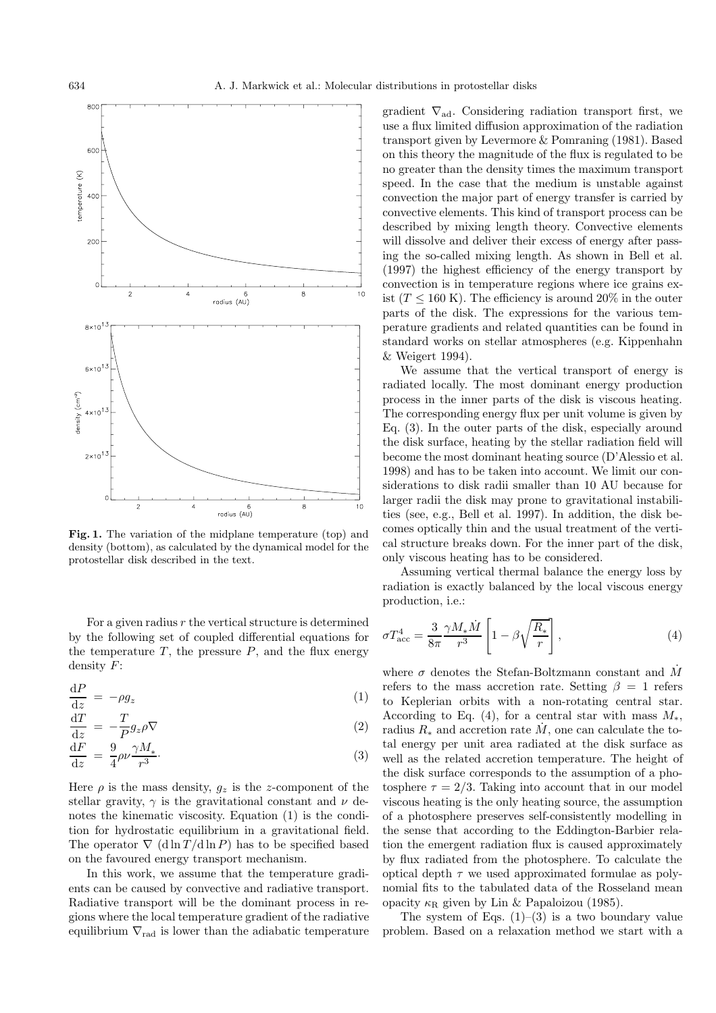

**Fig. 1.** The variation of the midplane temperature (top) and density (bottom), as calculated by the dynamical model for the protostellar disk described in the text.

For a given radius  $r$  the vertical structure is determined by the following set of coupled differential equations for the temperature  $T$ , the pressure  $P$ , and the flux energy density F:

$$
\frac{\mathrm{d}P}{\mathrm{d}z} = -\rho g_z \tag{1}
$$

$$
\frac{\mathrm{d}T}{\mathrm{d}z} = -\frac{T}{P}g_z \rho \nabla \tag{2}
$$

$$
\frac{\mathrm{d}F}{\mathrm{d}z} = \frac{9}{4}\rho\nu \frac{\gamma M_*}{r^3}.\tag{3}
$$

Here  $\rho$  is the mass density,  $g_z$  is the z-component of the stellar gravity,  $\gamma$  is the gravitational constant and  $\nu$  denotes the kinematic viscosity. Equation (1) is the condition for hydrostatic equilibrium in a gravitational field. The operator  $\nabla$  (d ln T/d ln P) has to be specified based on the favoured energy transport mechanism.

In this work, we assume that the temperature gradients can be caused by convective and radiative transport. Radiative transport will be the dominant process in regions where the local temperature gradient of the radiative equilibrium  $\nabla_{rad}$  is lower than the adiabatic temperature gradient  $\nabla_{ad}$ . Considering radiation transport first, we use a flux limited diffusion approximation of the radiation transport given by Levermore & Pomraning (1981). Based on this theory the magnitude of the flux is regulated to be no greater than the density times the maximum transport speed. In the case that the medium is unstable against convection the major part of energy transfer is carried by convective elements. This kind of transport process can be described by mixing length theory. Convective elements will dissolve and deliver their excess of energy after passing the so-called mixing length. As shown in Bell et al. (1997) the highest efficiency of the energy transport by convection is in temperature regions where ice grains exist ( $T \le 160$  K). The efficiency is around 20% in the outer parts of the disk. The expressions for the various temperature gradients and related quantities can be found in standard works on stellar atmospheres (e.g. Kippenhahn & Weigert 1994).

We assume that the vertical transport of energy is radiated locally. The most dominant energy production process in the inner parts of the disk is viscous heating. The corresponding energy flux per unit volume is given by Eq. (3). In the outer parts of the disk, especially around the disk surface, heating by the stellar radiation field will become the most dominant heating source (D'Alessio et al. 1998) and has to be taken into account. We limit our considerations to disk radii smaller than 10 AU because for larger radii the disk may prone to gravitational instabilities (see, e.g., Bell et al. 1997). In addition, the disk becomes optically thin and the usual treatment of the vertical structure breaks down. For the inner part of the disk, only viscous heating has to be considered.

Assuming vertical thermal balance the energy loss by radiation is exactly balanced by the local viscous energy production, i.e.:

$$
\sigma T_{\text{acc}}^4 = \frac{3}{8\pi} \frac{\gamma M_* \dot{M}}{r^3} \left[ 1 - \beta \sqrt{\frac{R_*}{r}} \right],\tag{4}
$$

where  $\sigma$  denotes the Stefan-Boltzmann constant and M refers to the mass accretion rate. Setting  $\beta = 1$  refers to Keplerian orbits with a non-rotating central star. According to Eq. (4), for a central star with mass  $M_*$ , radius  $R_*$  and accretion rate  $\dot{M}$ , one can calculate the total energy per unit area radiated at the disk surface as well as the related accretion temperature. The height of the disk surface corresponds to the assumption of a photosphere  $\tau = 2/3$ . Taking into account that in our model viscous heating is the only heating source, the assumption of a photosphere preserves self-consistently modelling in the sense that according to the Eddington-Barbier relation the emergent radiation flux is caused approximately by flux radiated from the photosphere. To calculate the optical depth  $\tau$  we used approximated formulae as polynomial fits to the tabulated data of the Rosseland mean opacity  $\kappa_R$  given by Lin & Papaloizou (1985).

The system of Eqs.  $(1)$ – $(3)$  is a two boundary value problem. Based on a relaxation method we start with a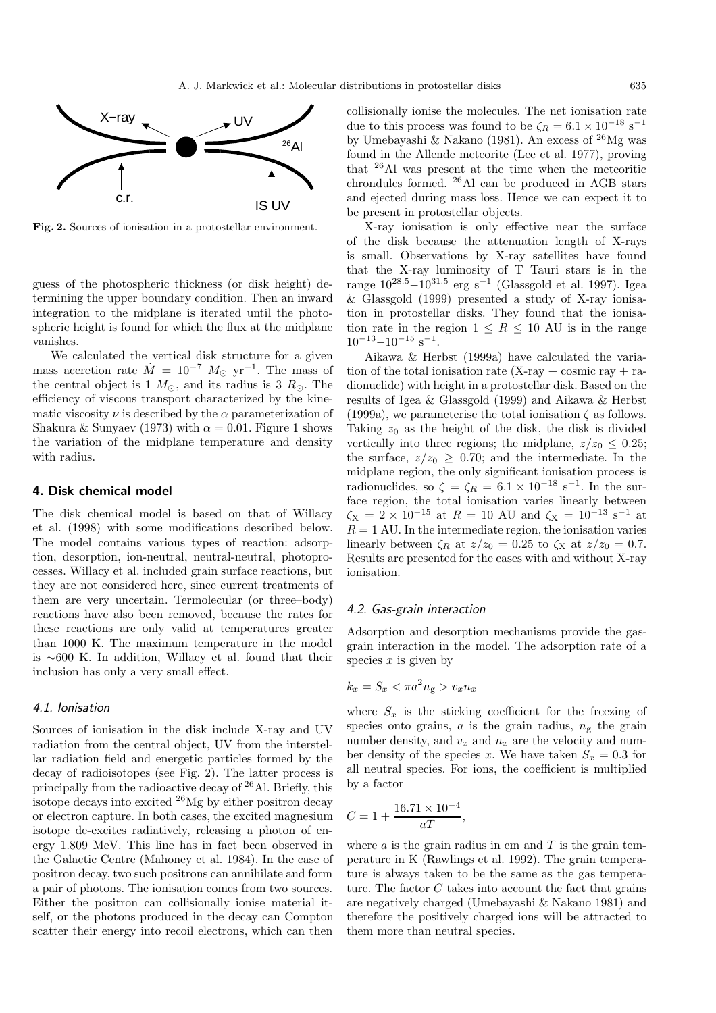

**Fig. 2.** Sources of ionisation in a protostellar environment.

guess of the photospheric thickness (or disk height) determining the upper boundary condition. Then an inward integration to the midplane is iterated until the photospheric height is found for which the flux at the midplane vanishes.

We calculated the vertical disk structure for a given mass accretion rate  $\dot{M} = 10^{-7} M_{\odot} \text{ yr}^{-1}$ . The mass of the central object is 1  $M_{\odot}$ , and its radius is 3  $R_{\odot}$ . The efficiency of viscous transport characterized by the kinematic viscosity  $\nu$  is described by the  $\alpha$  parameterization of Shakura & Sunyaev (1973) with  $\alpha = 0.01$ . Figure 1 shows the variation of the midplane temperature and density with radius.

#### **4. Disk chemical model**

The disk chemical model is based on that of Willacy et al. (1998) with some modifications described below. The model contains various types of reaction: adsorption, desorption, ion-neutral, neutral-neutral, photoprocesses. Willacy et al. included grain surface reactions, but they are not considered here, since current treatments of them are very uncertain. Termolecular (or three–body) reactions have also been removed, because the rates for these reactions are only valid at temperatures greater than 1000 K. The maximum temperature in the model is ∼600 K. In addition, Willacy et al. found that their inclusion has only a very small effect.

#### 4.1. Ionisation

Sources of ionisation in the disk include X-ray and UV radiation from the central object, UV from the interstellar radiation field and energetic particles formed by the decay of radioisotopes (see Fig. 2). The latter process is principally from the radioactive decay of <sup>26</sup>Al. Briefly, this isotope decays into excited  $^{26}Mg$  by either positron decay or electron capture. In both cases, the excited magnesium isotope de-excites radiatively, releasing a photon of energy 1.809 MeV. This line has in fact been observed in the Galactic Centre (Mahoney et al. 1984). In the case of positron decay, two such positrons can annihilate and form a pair of photons. The ionisation comes from two sources. Either the positron can collisionally ionise material itself, or the photons produced in the decay can Compton scatter their energy into recoil electrons, which can then

collisionally ionise the molecules. The net ionisation rate due to this process was found to be  $\zeta_R = 6.1 \times 10^{-18} \text{ s}^{-1}$ by Umebayashi & Nakano (1981). An excess of  $^{26}\mathrm{Mg}$  was found in the Allende meteorite (Lee et al. 1977), proving that <sup>26</sup>Al was present at the time when the meteoritic chrondules formed. <sup>26</sup>Al can be produced in AGB stars and ejected during mass loss. Hence we can expect it to be present in protostellar objects.

X-ray ionisation is only effective near the surface of the disk because the attenuation length of X-rays is small. Observations by X-ray satellites have found that the X-ray luminosity of T Tauri stars is in the range  $10^{28.5}-10^{31.5}$  erg s<sup>-1</sup> (Glassgold et al. 1997). Igea & Glassgold (1999) presented a study of X-ray ionisation in protostellar disks. They found that the ionisation rate in the region  $1 \leq R \leq 10$  AU is in the range  $10^{-13} - 10^{-15}$  s<sup>-1</sup>.

Aikawa & Herbst (1999a) have calculated the variation of the total ionisation rate  $(X-ray + cosmic \, ray + ra$ dionuclide) with height in a protostellar disk. Based on the results of Igea & Glassgold (1999) and Aikawa & Herbst (1999a), we parameterise the total ionisation  $\zeta$  as follows. Taking  $z_0$  as the height of the disk, the disk is divided vertically into three regions; the midplane,  $z/z_0 \leq 0.25$ ; the surface,  $z/z_0 \geq 0.70$ ; and the intermediate. In the midplane region, the only significant ionisation process is radionuclides, so  $\zeta = \zeta_R = 6.1 \times 10^{-18} \text{ s}^{-1}$ . In the surface region, the total ionisation varies linearly between  $\zeta_{\rm X} = 2 \times 10^{-15}$  at  $R = 10$  AU and  $\zeta_{\rm X} = 10^{-13}$  s<sup>-1</sup> at  $R = 1$  AU. In the intermediate region, the ionisation varies linearly between  $\zeta_R$  at  $z/z_0 = 0.25$  to  $\zeta_X$  at  $z/z_0 = 0.7$ . Results are presented for the cases with and without X-ray ionisation.

#### 4.2. Gas-grain interaction

Adsorption and desorption mechanisms provide the gasgrain interaction in the model. The adsorption rate of a species  $x$  is given by

$$
k_x = S_x < \pi a^2 n_\text{g} > v_x n_x
$$

where  $S_x$  is the sticking coefficient for the freezing of species onto grains,  $a$  is the grain radius,  $n<sub>g</sub>$  the grain number density, and  $v_x$  and  $n_x$  are the velocity and number density of the species x. We have taken  $S_x = 0.3$  for all neutral species. For ions, the coefficient is multiplied by a factor

$$
C = 1 + \frac{16.71 \times 10^{-4}}{aT},
$$

where  $a$  is the grain radius in cm and  $T$  is the grain temperature in K (Rawlings et al. 1992). The grain temperature is always taken to be the same as the gas temperature. The factor  $C$  takes into account the fact that grains are negatively charged (Umebayashi & Nakano 1981) and therefore the positively charged ions will be attracted to them more than neutral species.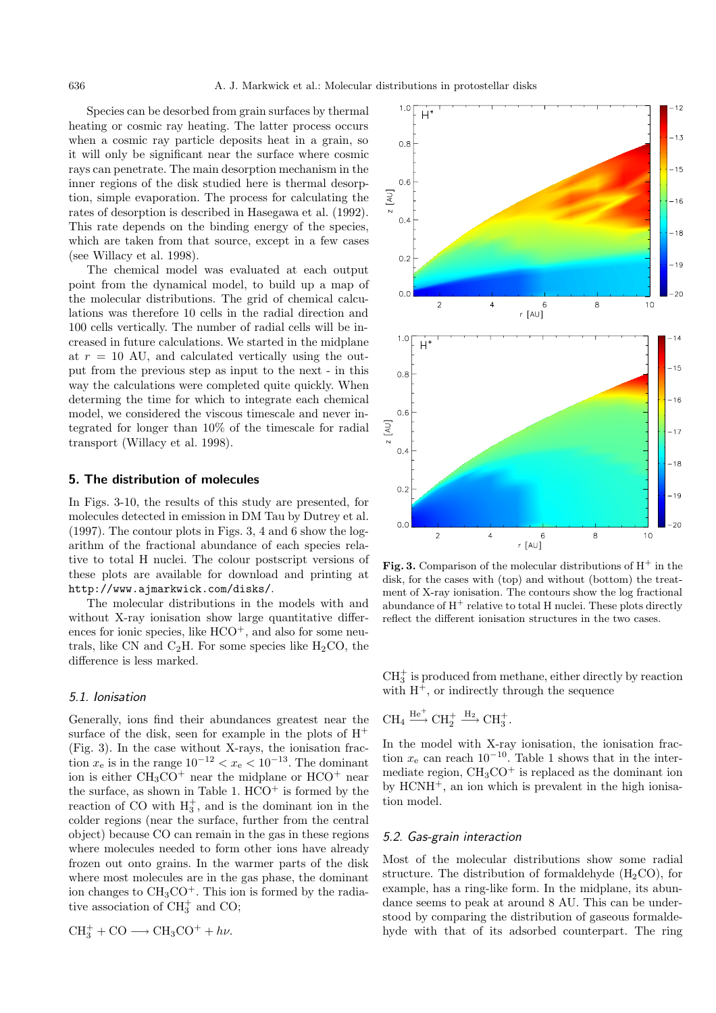Species can be desorbed from grain surfaces by thermal heating or cosmic ray heating. The latter process occurs when a cosmic ray particle deposits heat in a grain, so it will only be significant near the surface where cosmic rays can penetrate. The main desorption mechanism in the inner regions of the disk studied here is thermal desorption, simple evaporation. The process for calculating the rates of desorption is described in Hasegawa et al. (1992). This rate depends on the binding energy of the species, which are taken from that source, except in a few cases (see Willacy et al. 1998).

The chemical model was evaluated at each output point from the dynamical model, to build up a map of the molecular distributions. The grid of chemical calculations was therefore 10 cells in the radial direction and 100 cells vertically. The number of radial cells will be increased in future calculations. We started in the midplane at  $r = 10$  AU, and calculated vertically using the output from the previous step as input to the next - in this way the calculations were completed quite quickly. When determing the time for which to integrate each chemical model, we considered the viscous timescale and never integrated for longer than 10% of the timescale for radial transport (Willacy et al. 1998).

#### **5. The distribution of molecules**

In Figs. 3-10, the results of this study are presented, for molecules detected in emission in DM Tau by Dutrey et al. (1997). The contour plots in Figs. 3, 4 and 6 show the logarithm of the fractional abundance of each species relative to total H nuclei. The colour postscript versions of these plots are available for download and printing at http://www.ajmarkwick.com/disks/.

The molecular distributions in the models with and without X-ray ionisation show large quantitative differences for ionic species, like  $HCO<sup>+</sup>$ , and also for some neutrals, like CN and  $C_2H$ . For some species like  $H_2CO$ , the difference is less marked.

## 5.1. Ionisation

Generally, ions find their abundances greatest near the surface of the disk, seen for example in the plots of  $H^+$ (Fig. 3). In the case without X-rays, the ionisation fraction  $x_e$  is in the range  $10^{-12} < x_e < 10^{-13}$ . The dominant ion is either  $CH<sub>3</sub>CO<sup>+</sup>$  near the midplane or  $HCO<sup>+</sup>$  near the surface, as shown in Table 1.  $HCO<sup>+</sup>$  is formed by the reaction of CO with  $H_3^+$ , and is the dominant ion in the colder regions (near the surface, further from the central object) because CO can remain in the gas in these regions where molecules needed to form other ions have already frozen out onto grains. In the warmer parts of the disk where most molecules are in the gas phase, the dominant ion changes to  $CH<sub>3</sub>CO<sup>+</sup>$ . This ion is formed by the radiative association of  $\text{CH}_3^+$  and CO;

$$
CH_3^+ + CO \longrightarrow CH_3CO^+ + h\nu.
$$



**Fig. 3.** Comparison of the molecular distributions of  $H^+$  in the disk, for the cases with (top) and without (bottom) the treatment of X-ray ionisation. The contours show the log fractional abundance of  $H^+$  relative to total H nuclei. These plots directly reflect the different ionisation structures in the two cases.

 $\text{CH}_3^+$  is produced from methane, either directly by reaction with  $H^+$ , or indirectly through the sequence

$$
\mathrm{CH}_4 \xrightarrow{\mathrm{He}^+} \mathrm{CH}_2^+ \xrightarrow{\mathrm{H}_2} \mathrm{CH}_3^+.
$$

In the model with X-ray ionisation, the ionisation fraction  $x_e$  can reach 10<sup>-10</sup>. Table 1 shows that in the intermediate region,  $CH<sub>3</sub>CO<sup>+</sup>$  is replaced as the dominant ion by  $HCNH^+$ , an ion which is prevalent in the high ionisation model.

## 5.2. Gas-grain interaction

Most of the molecular distributions show some radial structure. The distribution of formaldehyde  $(H_2CO)$ , for example, has a ring-like form. In the midplane, its abundance seems to peak at around 8 AU. This can be understood by comparing the distribution of gaseous formaldehyde with that of its adsorbed counterpart. The ring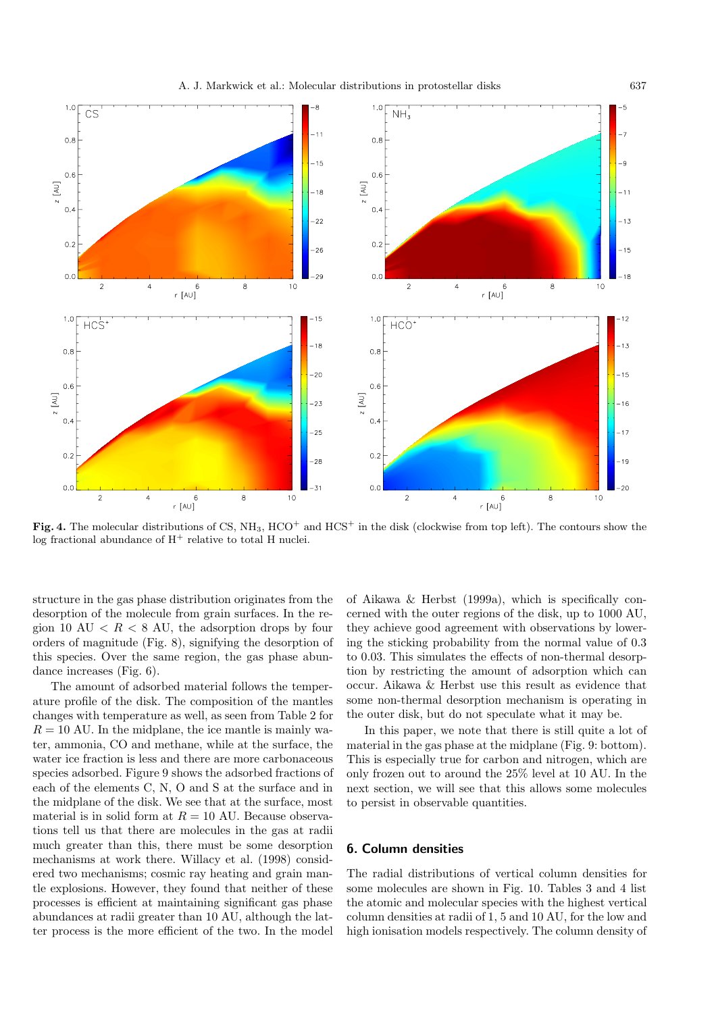

**Fig. 4.** The molecular distributions of CS, NH<sub>3</sub>, HCO<sup>+</sup> and HCS<sup>+</sup> in the disk (clockwise from top left). The contours show the log fractional abundance of  $H^+$  relative to total H nuclei.

structure in the gas phase distribution originates from the desorption of the molecule from grain surfaces. In the region 10 AU  $\langle R \times 8 \text{ AU} \rangle$ , the adsorption drops by four orders of magnitude (Fig. 8), signifying the desorption of this species. Over the same region, the gas phase abundance increases (Fig. 6).

The amount of adsorbed material follows the temperature profile of the disk. The composition of the mantles changes with temperature as well, as seen from Table 2 for  $R = 10$  AU. In the midplane, the ice mantle is mainly water, ammonia, CO and methane, while at the surface, the water ice fraction is less and there are more carbonaceous species adsorbed. Figure 9 shows the adsorbed fractions of each of the elements C, N, O and S at the surface and in the midplane of the disk. We see that at the surface, most material is in solid form at  $R = 10$  AU. Because observations tell us that there are molecules in the gas at radii much greater than this, there must be some desorption mechanisms at work there. Willacy et al. (1998) considered two mechanisms; cosmic ray heating and grain mantle explosions. However, they found that neither of these processes is efficient at maintaining significant gas phase abundances at radii greater than 10 AU, although the latter process is the more efficient of the two. In the model

of Aikawa & Herbst (1999a), which is specifically concerned with the outer regions of the disk, up to 1000 AU, they achieve good agreement with observations by lowering the sticking probability from the normal value of 0.3 to 0.03. This simulates the effects of non-thermal desorption by restricting the amount of adsorption which can occur. Aikawa & Herbst use this result as evidence that some non-thermal desorption mechanism is operating in the outer disk, but do not speculate what it may be.

In this paper, we note that there is still quite a lot of material in the gas phase at the midplane (Fig. 9: bottom). This is especially true for carbon and nitrogen, which are only frozen out to around the 25% level at 10 AU. In the next section, we will see that this allows some molecules to persist in observable quantities.

## **6. Column densities**

The radial distributions of vertical column densities for some molecules are shown in Fig. 10. Tables 3 and 4 list the atomic and molecular species with the highest vertical column densities at radii of 1, 5 and 10 AU, for the low and high ionisation models respectively. The column density of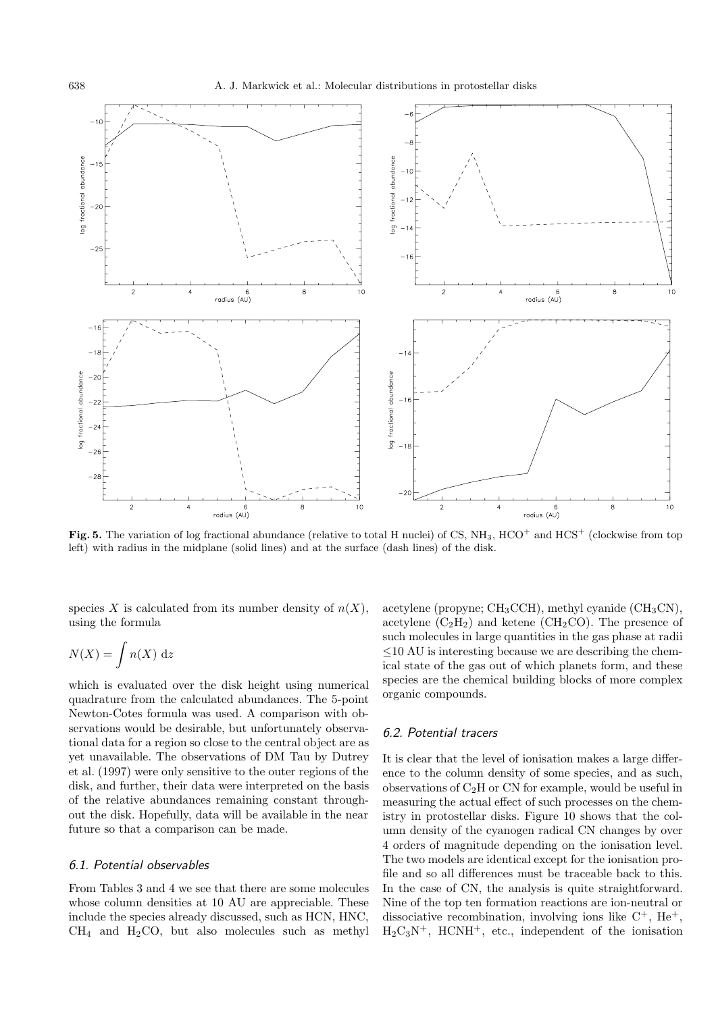

Fig. 5. The variation of log fractional abundance (relative to total H nuclei) of CS, NH<sub>3</sub>, HCO<sup>+</sup> and HCS<sup>+</sup> (clockwise from top left) with radius in the midplane (solid lines) and at the surface (dash lines) of the disk.

species X is calculated from its number density of  $n(X)$ , using the formula

$$
N(X) = \int n(X) \, \mathrm{d}z
$$

which is evaluated over the disk height using numerical quadrature from the calculated abundances. The 5-point Newton-Cotes formula was used. A comparison with observations would be desirable, but unfortunately observational data for a region so close to the central object are as yet unavailable. The observations of DM Tau by Dutrey et al. (1997) were only sensitive to the outer regions of the disk, and further, their data were interpreted on the basis of the relative abundances remaining constant throughout the disk. Hopefully, data will be available in the near future so that a comparison can be made.

## 6.1. Potential observables

From Tables 3 and 4 we see that there are some molecules whose column densities at 10 AU are appreciable. These include the species already discussed, such as HCN, HNC,  $CH<sub>4</sub>$  and  $H<sub>2</sub>CO$ , but also molecules such as methyl acetylene (propyne;  $CH_3CCH$ ), methyl cyanide ( $CH_3CN$ ), acetylene  $(C_2H_2)$  and ketene (CH<sub>2</sub>CO). The presence of such molecules in large quantities in the gas phase at radii  $\leq$ 10 AU is interesting because we are describing the chemical state of the gas out of which planets form, and these species are the chemical building blocks of more complex organic compounds.

## 6.2. Potential tracers

It is clear that the level of ionisation makes a large difference to the column density of some species, and as such, observations of  $C_2H$  or CN for example, would be useful in measuring the actual effect of such processes on the chemistry in protostellar disks. Figure 10 shows that the column density of the cyanogen radical CN changes by over 4 orders of magnitude depending on the ionisation level. The two models are identical except for the ionisation profile and so all differences must be traceable back to this. In the case of CN, the analysis is quite straightforward. Nine of the top ten formation reactions are ion-neutral or dissociative recombination, involving ions like  $C^+$ , He<sup>+</sup>,  $H_2C_3N^+$ , HCNH<sup>+</sup>, etc., independent of the ionisation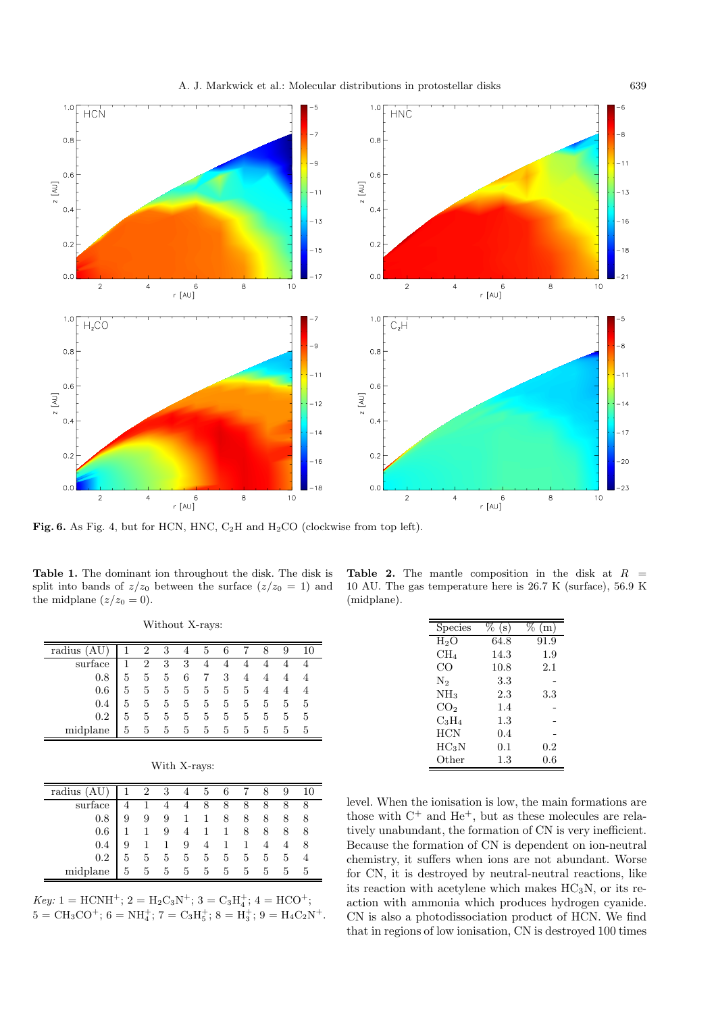

Fig. 6. As Fig. 4, but for HCN, HNC, C<sub>2</sub>H and H<sub>2</sub>CO (clockwise from top left).

**Table 1.** The dominant ion throughout the disk. The disk is split into bands of  $z/z_0$  between the surface  $(z/z_0 = 1)$  and the midplane  $(z/z_0 = 0)$ .

Without X-rays:

| radius<br>(AU |   | $\overline{2}$ | 3 | $\overline{4}$ | 5              | 6              |   | 8              | 9 |                |
|---------------|---|----------------|---|----------------|----------------|----------------|---|----------------|---|----------------|
| surface       |   | $\overline{2}$ | 3 | 3              | 4              | 4              | 4 |                | 4 | 4              |
| 0.8           | 5 | 5              | 5 | 6              | 7              | 3              | 4 |                | 4 | $\overline{4}$ |
| 0.6           | 5 | 5              | 5 | 5              | 5 <sup>5</sup> | $5^{\circ}$    | 5 | $\overline{4}$ | 4 | $\overline{4}$ |
| 0.4           | 5 | 5              | 5 | 5              | 5 <sub>5</sub> | $\overline{5}$ | 5 | 5              | 5 | 5              |
| 0.2           | 5 | 5              | 5 | 5              | 5              | 5              | 5 | 5              | 5 | 5              |
| midplane      | 5 | 5              | 5 | 5              | 5              | 5              | 5 | 5              | 5 | 5              |

|  | With X-rays: |
|--|--------------|
|--|--------------|

| radius   |   | 2 | 3 |   | 5              | 6              |    |                | 9  |    |
|----------|---|---|---|---|----------------|----------------|----|----------------|----|----|
| surface  |   |   |   | 4 | 8              | 8              | 8  | 8              | 8  | 8  |
| 0.8      |   | 9 | 9 |   |                | 8              | 8  | 8              | 8  | 8  |
| 0.6      |   |   | 9 | 4 |                |                | 8  | 8              | 8  | -8 |
| 0.4      |   |   |   | 9 | $\overline{4}$ |                |    | $\overline{4}$ |    | -8 |
| 0.2      |   | 5 | 5 | 5 | $\overline{5}$ | $\overline{5}$ | 5  | 5              | 5  |    |
| midplane | 5 | 5 | 5 | 5 | 5              | $\overline{5}$ | b. | 5              | h. | 5  |

 $Key: 1 = \text{HCNH}^+$ ; 2 = H<sub>2</sub>C<sub>3</sub>N<sup>+</sup>; 3 = C<sub>3</sub>H<sub>4</sub><sup>+</sup>; 4 = HCO<sup>+</sup>;  $5 = \text{CH}_3\text{CO}^+$ ;  $6 = \text{NH}_4^+$ ;  $7 = \text{C}_3\text{H}_5^+$ ;  $8 = \text{H}_3^+$ ;  $9 = \text{H}_4\text{C}_2\text{N}^+$ .

**Table 2.** The mantle composition in the disk at  $R =$ 10 AU. The gas temperature here is 26.7 K (surface), 56.9 K (midplane).

| (s)     | (m)     |
|---------|---------|
| 64.8    | 91.9    |
| 14.3    | 1.9     |
| 10.8    | 2.1     |
| $3.3\,$ |         |
| 2.3     | 3.3     |
| 1.4     |         |
| 1.3     |         |
| 0.4     |         |
| 0.1     | 0.2     |
| $1.3\,$ | $0.6\,$ |
|         |         |

level. When the ionisation is low, the main formations are those with  $C^+$  and  $He^+$ , but as these molecules are relatively unabundant, the formation of CN is very inefficient. Because the formation of CN is dependent on ion-neutral chemistry, it suffers when ions are not abundant. Worse for CN, it is destroyed by neutral-neutral reactions, like its reaction with acetylene which makes  $HC<sub>3</sub>N$ , or its reaction with ammonia which produces hydrogen cyanide. CN is also a photodissociation product of HCN. We find that in regions of low ionisation, CN is destroyed 100 times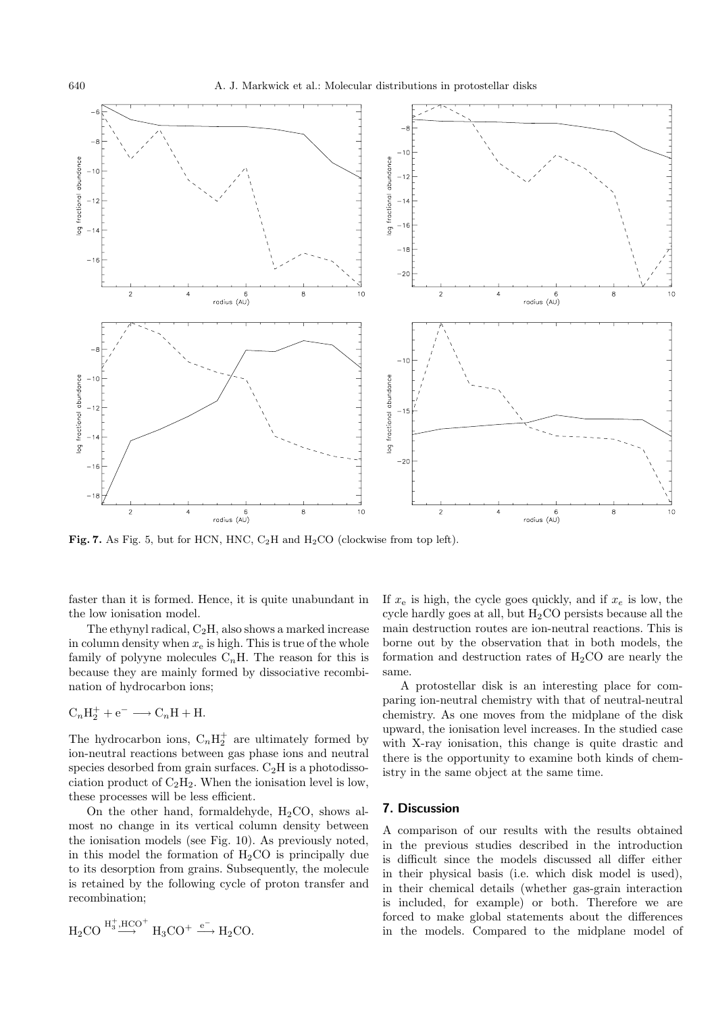

**Fig. 7.** As Fig. 5, but for HCN, HNC,  $C_2H$  and  $H_2CO$  (clockwise from top left).

faster than it is formed. Hence, it is quite unabundant in the low ionisation model.

The ethynyl radical,  $C_2H$ , also shows a marked increase in column density when  $x_e$  is high. This is true of the whole family of polyme molecules  $C_n$ H. The reason for this is because they are mainly formed by dissociative recombination of hydrocarbon ions;

$$
C_nH_2^+ + e^- \longrightarrow C_nH + H.
$$

The hydrocarbon ions,  $C_nH_2^+$  are ultimately formed by ion-neutral reactions between gas phase ions and neutral species desorbed from grain surfaces.  $C_2H$  is a photodissociation product of  $C_2H_2$ . When the ionisation level is low, these processes will be less efficient.

On the other hand, formaldehyde,  $H_2CO$ , shows almost no change in its vertical column density between the ionisation models (see Fig. 10). As previously noted, in this model the formation of  $H_2CO$  is principally due to its desorption from grains. Subsequently, the molecule is retained by the following cycle of proton transfer and recombination;

$$
\mathrm{H_2CO} \overset{\mathrm{H_3^+, HCO^+}}{\longrightarrow} \mathrm{H_3CO^+} \overset{e^-}{\longrightarrow} \mathrm{H_2CO}.
$$

If  $x_e$  is high, the cycle goes quickly, and if  $x_e$  is low, the cycle hardly goes at all, but  $H_2CO$  persists because all the main destruction routes are ion-neutral reactions. This is borne out by the observation that in both models, the formation and destruction rates of  $H<sub>2</sub>CO$  are nearly the same.

A protostellar disk is an interesting place for comparing ion-neutral chemistry with that of neutral-neutral chemistry. As one moves from the midplane of the disk upward, the ionisation level increases. In the studied case with X-ray ionisation, this change is quite drastic and there is the opportunity to examine both kinds of chemistry in the same object at the same time.

#### **7. Discussion**

A comparison of our results with the results obtained in the previous studies described in the introduction is difficult since the models discussed all differ either in their physical basis (i.e. which disk model is used), in their chemical details (whether gas-grain interaction is included, for example) or both. Therefore we are forced to make global statements about the differences in the models. Compared to the midplane model of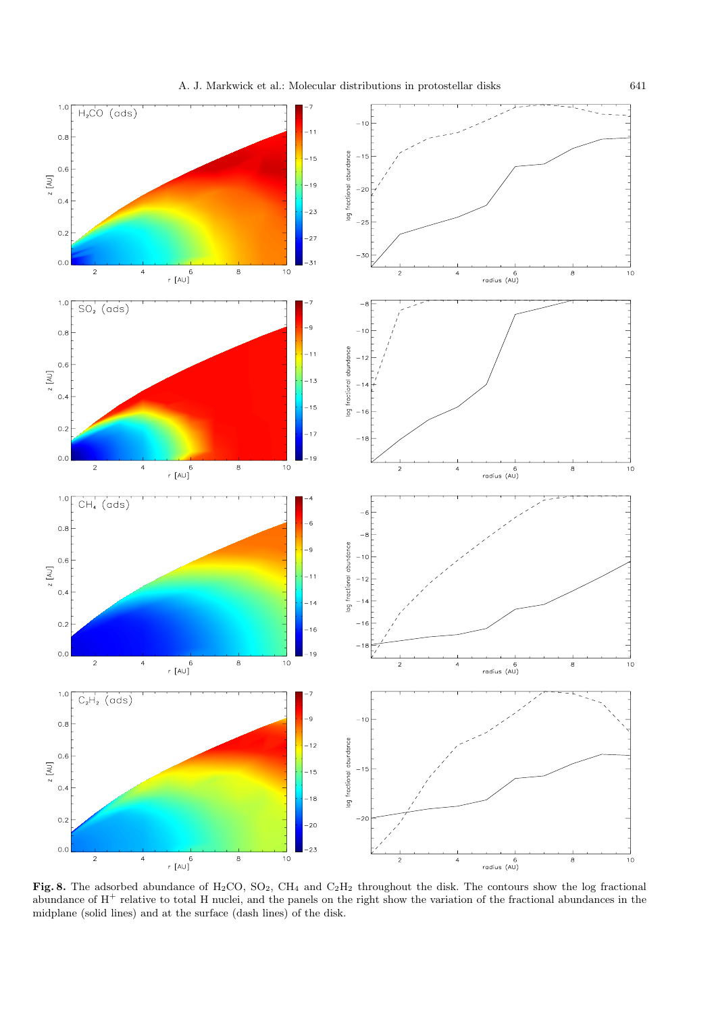

Fig. 8. The adsorbed abundance of H<sub>2</sub>CO, SO<sub>2</sub>, CH<sub>4</sub> and C<sub>2</sub>H<sub>2</sub> throughout the disk. The contours show the log fractional abundance of  $H^+$  relative to total H nuclei, and the panels on the right show the variation of the fractional abundances in the midplane (solid lines) and at the surface (dash lines) of the disk.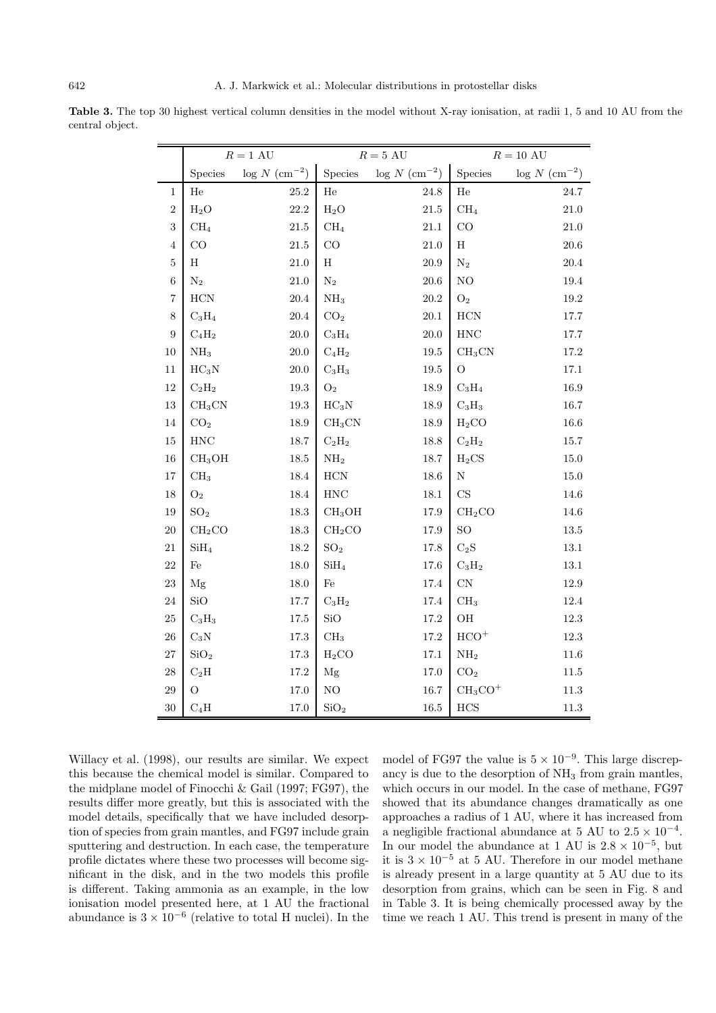**Table 3.** The top 30 highest vertical column densities in the model without X-ray ionisation, at radii 1, 5 and 10 AU from the central object.

|                |                     | $R=1~\mathrm{AU}$            |                    | $R=5~\mathrm{AU}$            |                            | $R=10~\mathrm{AU}$           |
|----------------|---------------------|------------------------------|--------------------|------------------------------|----------------------------|------------------------------|
|                | Species             | $\log N$ (cm <sup>-2</sup> ) | Species            | $\log N$ (cm <sup>-2</sup> ) | Species                    | $\log N$ (cm <sup>-2</sup> ) |
| $\mathbf{1}$   | ${\rm He}$          | $25.2\,$                     | ${\rm He}$         | $24.8\,$                     | ${\rm He}$                 | 24.7                         |
| $\overline{2}$ | $H_2O$              | $22.2\,$                     | $H_2O$             | $21.5\,$                     | CH <sub>4</sub>            | 21.0                         |
| $\sqrt{3}$     | CH <sub>4</sub>     | $21.5\,$                     | CH <sub>4</sub>    | $21.1\,$                     | CO                         | 21.0                         |
| $\overline{4}$ | CO                  | $21.5\,$                     | CO                 | $21.0\,$                     | H                          | 20.6                         |
| $\bf 5$        | $\rm H$             | $21.0\,$                     | $\mathbf H$        | $20.9\,$                     | $\rm N_2$                  | 20.4                         |
| $\,6\,$        | $\rm N_2$           | $21.0\,$                     | $\mathrm{N}_2$     | $20.6\,$                     | $\rm NO$                   | 19.4                         |
| $\,7$          | HCN                 | $20.4\,$                     | NH <sub>3</sub>    | $20.2\,$                     | O <sub>2</sub>             | 19.2                         |
| $8\,$          | $C_3H_4$            | $20.4\,$                     | CO <sub>2</sub>    | $20.1\,$                     | $\rm HCN$                  | 17.7                         |
| 9              | $C_4H_2$            | $20.0\,$                     | $\rm{C_3H_4}$      | $20.0\,$                     | $\operatorname{HNC}$       | 17.7                         |
| 10             | NH <sub>3</sub>     | $20.0\,$                     | $C_4H_2$           | $19.5\,$                     | CH <sub>3</sub> CN         | 17.2                         |
| 11             | $HC_3N$             | $20.0\,$                     | $C_3H_3$           | $19.5\,$                     | ${\cal O}$                 | 17.1                         |
| $12\,$         | $C_2H_2$            | $19.3\,$                     | $\mathrm{O}_2$     | $18.9\,$                     | $C_3H_4$                   | 16.9                         |
| $13\,$         | CH <sub>3</sub> CN  | $19.3\,$                     | HC <sub>3</sub> N  | $18.9\,$                     | $C_3H_3$                   | 16.7                         |
| $14\,$         | CO <sub>2</sub>     | $18.9\,$                     | CH <sub>3</sub> CN | $18.9\,$                     | H <sub>2</sub> CO          | 16.6                         |
| 15             | ${\rm HNC}$         | 18.7                         | $C_2H_2$           | $18.8\,$                     | $C_2H_2$                   | 15.7                         |
| $16\,$         | CH <sub>3</sub> OH  | $18.5\,$                     | NH <sub>2</sub>    | $18.7\,$                     | $H_2CS$                    | 15.0                         |
| $17\,$         | CH <sub>3</sub>     | $18.4\,$                     | $\rm HCN$          | $18.6\,$                     | $\mathbf N$                | 15.0                         |
| $18\,$         | $\mathrm{O}_2$      | $18.4\,$                     | ${\rm HNC}$        | $18.1\,$                     | $\mathop{\rm CS}\nolimits$ | 14.6                         |
| $19\,$         | $\mathrm{SO}_2$     | $18.3\,$                     | CH <sub>3</sub> OH | $17.9\,$                     | CH <sub>2</sub> CO         | 14.6                         |
| $20\,$         | $\mathrm{CH_{2}CO}$ | $18.3\,$                     | CH <sub>2</sub> CO | $17.9\,$                     | SO                         | $13.5\,$                     |
| $21\,$         | SiH <sub>4</sub>    | $18.2\,$                     | SO <sub>2</sub>    | $17.8\,$                     | $C_2S$                     | 13.1                         |
| $22\,$         | Fe                  | $18.0\,$                     | SiH <sub>4</sub>   | $17.6\,$                     | $C_3H_2$                   | 13.1                         |
| $23\,$         | Mg                  | $18.0\,$                     | $\rm Fe$           | $17.4\,$                     | $\mbox{CN}$                | 12.9                         |
| $24\,$         | SiO                 | $17.7\,$                     | $\rm{C_3H_2}$      | $17.4\,$                     | $\rm CH_{3}$               | 12.4                         |
| $25\,$         | $C_3H_3$            | $17.5\,$                     | SiO                | $17.2\,$                     | $\rm OH$                   | 12.3                         |
| $26\,$         | $\mathrm{C_{3}N}$   | $17.3\,$                     | CH <sub>3</sub>    | $17.2\,$                     | $HCO+$                     | 12.3                         |
| $27\,$         | SiO <sub>2</sub>    | $17.3\,$                     | H <sub>2</sub> CO  | $17.1\,$                     | NH <sub>2</sub>            | 11.6                         |
| $28\,$         | $C_2H$              | $17.2\,$                     | Mg                 | $17.0\,$                     | CO <sub>2</sub>            | 11.5                         |
| $\,29$         | $\mathcal{O}$       | $17.0\,$                     | $\rm NO$           | $16.7\,$                     | $\mathrm{CH_{3}CO}^{+}$    | 11.3                         |
| $30\,$         | $\rm{C_4H}$         | 17.0                         | $\rm SiO_2$        | $16.5\,$                     | HCS                        | 11.3                         |

Willacy et al. (1998), our results are similar. We expect this because the chemical model is similar. Compared to the midplane model of Finocchi & Gail (1997; FG97), the results differ more greatly, but this is associated with the model details, specifically that we have included desorption of species from grain mantles, and FG97 include grain sputtering and destruction. In each case, the temperature profile dictates where these two processes will become significant in the disk, and in the two models this profile is different. Taking ammonia as an example, in the low ionisation model presented here, at 1 AU the fractional abundance is  $3 \times 10^{-6}$  (relative to total H nuclei). In the model of FG97 the value is  $5 \times 10^{-9}$ . This large discrepancy is due to the desorption of  $NH<sub>3</sub>$  from grain mantles, which occurs in our model. In the case of methane, FG97 showed that its abundance changes dramatically as one approaches a radius of 1 AU, where it has increased from a negligible fractional abundance at 5 AU to  $2.5 \times 10^{-4}$ . In our model the abundance at 1 AU is  $2.8 \times 10^{-5}$ , but it is  $3 \times 10^{-5}$  at 5 AU. Therefore in our model methane is already present in a large quantity at 5 AU due to its desorption from grains, which can be seen in Fig. 8 and in Table 3. It is being chemically processed away by the time we reach 1 AU. This trend is present in many of the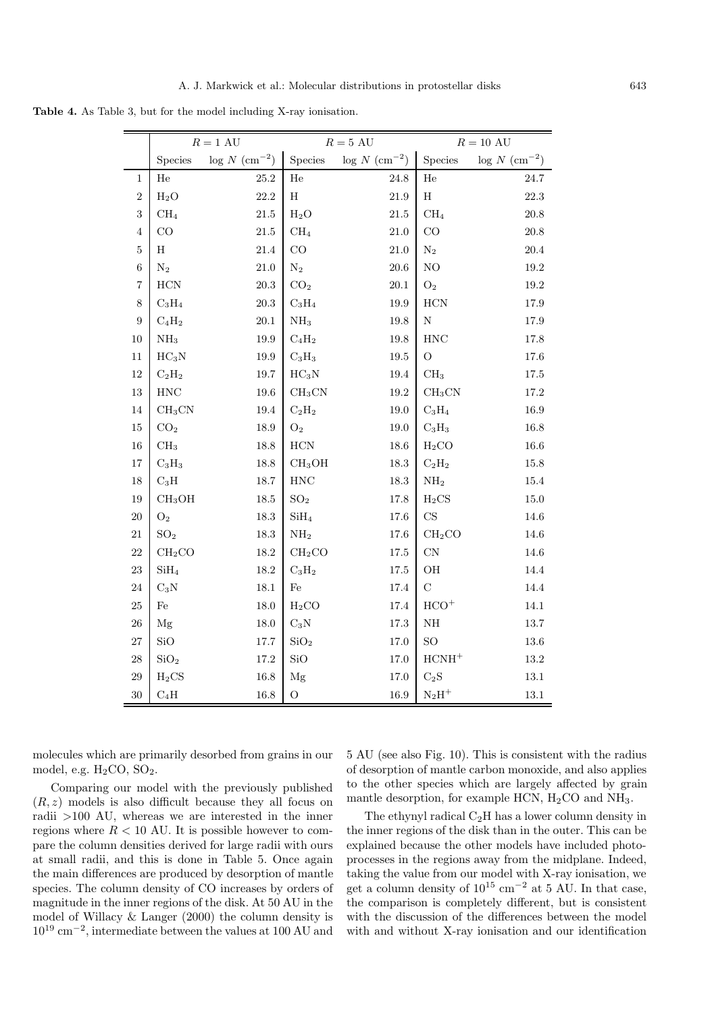**Table 4.** As Table 3, but for the model including X-ray ionisation.

|                |                    | $R=1$ AU                     |                    | $R=5$ AU                     | $R = 10 \text{ AU}$ |                              |  |
|----------------|--------------------|------------------------------|--------------------|------------------------------|---------------------|------------------------------|--|
|                | Species            | $\log N$ (cm <sup>-2</sup> ) | Species            | $\log N$ (cm <sup>-2</sup> ) | Species             | $\log N$ (cm <sup>-2</sup> ) |  |
| $\mathbf 1$    | He                 | $25.2\,$                     | He                 | 24.8                         | He                  | 24.7                         |  |
| $\sqrt{2}$     | $H_2O$             | $22.2\,$                     | $\rm H$            | $21.9\,$                     | $\mathbf H$         | $22.3\,$                     |  |
| $\,3$          | CH <sub>4</sub>    | $21.5\,$                     | $H_2O$             | $21.5\,$                     | CH <sub>4</sub>     | $20.8\,$                     |  |
| 4              | CO                 | $21.5\,$                     | CH <sub>4</sub>    | $21.0\,$                     | CO                  | $20.8\,$                     |  |
| $\bf 5$        | $\mathbf H$        | $21.4\,$                     | CO                 | $21.0\,$                     | $\rm N_2$           | $20.4\,$                     |  |
| 6              | $\mathrm{N}_2$     | $21.0\,$                     | $\rm N_2$          | $20.6\,$                     | $\rm NO$            | $19.2\,$                     |  |
| $\overline{7}$ | $_{\rm HCN}$       | $20.3\,$                     | CO <sub>2</sub>    | $20.1\,$                     | $\mathrm{O}_2$      | $19.2\,$                     |  |
| 8              | $C_3H_4$           | $20.3\,$                     | $C_3H_4$           | 19.9                         | $\rm HCN$           | $17.9\,$                     |  |
| 9              | $C_4H_2$           | $20.1\,$                     | NH <sub>3</sub>    | $19.8\,$                     | $\mathbf N$         | $17.9\,$                     |  |
| $10\,$         | NH <sub>3</sub>    | $19.9\,$                     | $C_4H_2$           | $19.8\,$                     | ${\rm HNC}$         | $17.8\,$                     |  |
| 11             | HC <sub>3</sub> N  | 19.9                         | $C_3H_3$           | $19.5\,$                     | $\overline{O}$      | $17.6\,$                     |  |
| 12             | $\rm{C_2H_2}$      | 19.7                         | HC <sub>3</sub> N  | 19.4                         | CH <sub>3</sub>     | $17.5\,$                     |  |
| 13             | ${\rm HNC}$        | $19.6\,$                     | CH <sub>3</sub> CN | 19.2                         | CH <sub>3</sub> CN  | $17.2\,$                     |  |
| 14             | CH <sub>3</sub> CN | 19.4                         | $C_2H_2$           | $19.0\,$                     | $C_3H_4$            | $16.9\,$                     |  |
| 15             | CO <sub>2</sub>    | 18.9                         | $\mathrm{O}_2$     | $19.0\,$                     | $C_3H_3$            | $16.8\,$                     |  |
| 16             | CH <sub>3</sub>    | $18.8\,$                     | $\rm HCN$          | 18.6                         | H <sub>2</sub> CO   | $16.6\,$                     |  |
| $17\,$         | $C_3H_3$           | $18.8\,$                     | CH <sub>3</sub> OH | $18.3\,$                     | $\rm{C_2H_2}$       | $15.8\,$                     |  |
| $18\,$         | $\rm{C_3H}$        | 18.7                         | ${\rm HNC}$        | $18.3\,$                     | $\mathrm{NH}_2$     | $15.4\,$                     |  |
| $19\,$         | CH <sub>3</sub> OH | $18.5\,$                     | SO <sub>2</sub>    | 17.8                         | $H_2CS$             | $15.0\,$                     |  |
| $20\,$         | $\mathrm{O}_2$     | $18.3\,$                     | SiH <sub>4</sub>   | 17.6                         | $\rm CS$            | $14.6\,$                     |  |
| $21\,$         | $\mathrm{SO}_2$    | $18.3\,$                     | NH <sub>2</sub>    | 17.6                         | CH <sub>2</sub> CO  | $14.6\,$                     |  |
| $22\,$         | CH <sub>2</sub> CO | $18.2\,$                     | CH <sub>2</sub> CO | $17.5\,$                     | CN                  | $14.6\,$                     |  |
| $23\,$         | SiH <sub>4</sub>   | $18.2\,$                     | $\rm{C_3H_2}$      | $17.5\,$                     | OH                  | $14.4\,$                     |  |
| 24             | $C_3N$             | $18.1\,$                     | $\rm Fe$           | $17.4\,$                     | $\mathcal{C}$       | 14.4                         |  |
| $25\,$         | $\rm Fe$           | $18.0\,$                     | H <sub>2</sub> CO  | $17.4\,$                     | $HCO+$              | 14.1                         |  |
| $\sqrt{26}$    | Mg                 | $18.0\,$                     | $C_3N$             | $17.3\,$                     | $\rm NH$            | $13.7\,$                     |  |
| $27\,$         | SiO                | 17.7                         | SiO <sub>2</sub>   | 17.0                         | <b>SO</b>           | $13.6\,$                     |  |
| $\,28$         | SiO <sub>2</sub>   | $17.2\,$                     | <b>SiO</b>         | 17.0                         | $HCNH^+$            | $13.2\,$                     |  |
| $\,29$         | $\rm H_2CS$        | 16.8                         | Mg                 | $17.0\,$                     | $\rm{C}_2S$         | $13.1\,$                     |  |
| $30\,$         | $C_4H$             | $16.8\,$                     | $\mathcal O$       | $16.9\,$                     | $N_2H^+$            | $13.1\,$                     |  |

molecules which are primarily desorbed from grains in our model, e.g.  $H<sub>2</sub>CO$ ,  $SO<sub>2</sub>$ .

Comparing our model with the previously published  $(R, z)$  models is also difficult because they all focus on radii >100 AU, whereas we are interested in the inner regions where  $R < 10$  AU. It is possible however to compare the column densities derived for large radii with ours at small radii, and this is done in Table 5. Once again the main differences are produced by desorption of mantle species. The column density of CO increases by orders of magnitude in the inner regions of the disk. At 50 AU in the model of Willacy & Langer (2000) the column density is 10<sup>19</sup> cm−<sup>2</sup>, intermediate between the values at 100 AU and

5 AU (see also Fig. 10). This is consistent with the radius of desorption of mantle carbon monoxide, and also applies to the other species which are largely affected by grain mantle desorption, for example HCN,  $H_2CO$  and NH<sub>3</sub>.

The ethynyl radical  $C_2H$  has a lower column density in the inner regions of the disk than in the outer. This can be explained because the other models have included photoprocesses in the regions away from the midplane. Indeed, taking the value from our model with X-ray ionisation, we get a column density of  $10^{15}$  cm<sup>-2</sup> at 5 AU. In that case, the comparison is completely different, but is consistent with the discussion of the differences between the model with and without X-ray ionisation and our identification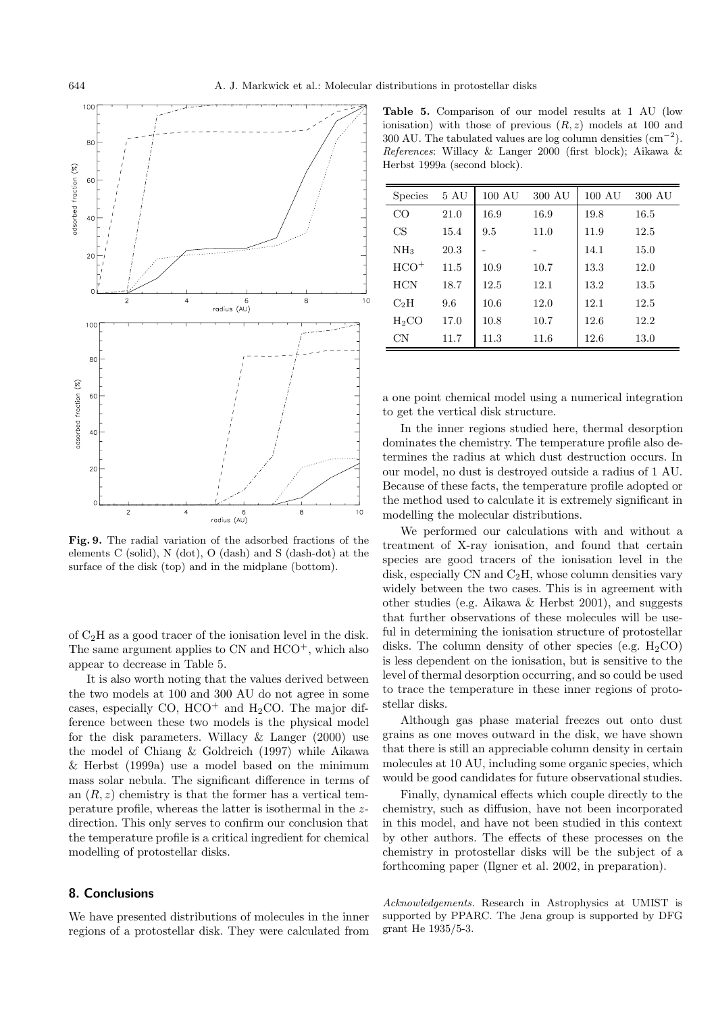

**Fig. 9.** The radial variation of the adsorbed fractions of the elements C (solid), N (dot), O (dash) and S (dash-dot) at the surface of the disk (top) and in the midplane (bottom).

of C2H as a good tracer of the ionisation level in the disk. The same argument applies to  $CN$  and  $HCO<sup>+</sup>$ , which also appear to decrease in Table 5.

It is also worth noting that the values derived between the two models at 100 and 300 AU do not agree in some cases, especially CO,  $HCO<sup>+</sup>$  and  $H<sub>2</sub>CO$ . The major difference between these two models is the physical model for the disk parameters. Willacy & Langer (2000) use the model of Chiang & Goldreich (1997) while Aikawa & Herbst (1999a) use a model based on the minimum mass solar nebula. The significant difference in terms of an  $(R, z)$  chemistry is that the former has a vertical temperature profile, whereas the latter is isothermal in the zdirection. This only serves to confirm our conclusion that the temperature profile is a critical ingredient for chemical modelling of protostellar disks.

## **8. Conclusions**

We have presented distributions of molecules in the inner regions of a protostellar disk. They were calculated from

**Table 5.** Comparison of our model results at 1 AU (low ionisation) with those of previous  $(R, z)$  models at 100 and 300 AU. The tabulated values are log column densities  $\text{cm}^{-2}$ ). References: Willacy & Langer 2000 (first block); Aikawa & Herbst 1999a (second block).

| <b>Species</b>  | 5 AU | 100 AU | 300 AU | 100 AU | 300 AU |
|-----------------|------|--------|--------|--------|--------|
| CO              | 21.0 | 16.9   | 16.9   | 19.8   | 16.5   |
| CS              | 15.4 | 9.5    | 11.0   | 11.9   | 12.5   |
| NH <sub>3</sub> | 20.3 |        |        | 14.1   | 15.0   |
| $HCO+$          | 11.5 | 10.9   | 10.7   | 13.3   | 12.0   |
| HCN             | 18.7 | 12.5   | 12.1   | 13.2   | 13.5   |
| $C_2H$          | 9.6  | 10.6   | 12.0   | 12.1   | 12.5   |
| $H_2CO$         | 17.0 | 10.8   | 10.7   | 12.6   | 12.2   |
| $\rm CN$        | 11.7 | 11.3   | 11.6   | 12.6   | 13.0   |

a one point chemical model using a numerical integration to get the vertical disk structure.

In the inner regions studied here, thermal desorption dominates the chemistry. The temperature profile also determines the radius at which dust destruction occurs. In our model, no dust is destroyed outside a radius of 1 AU. Because of these facts, the temperature profile adopted or the method used to calculate it is extremely significant in modelling the molecular distributions.

We performed our calculations with and without a treatment of X-ray ionisation, and found that certain species are good tracers of the ionisation level in the disk, especially CN and  $C_2H$ , whose column densities vary widely between the two cases. This is in agreement with other studies (e.g. Aikawa & Herbst 2001), and suggests that further observations of these molecules will be useful in determining the ionisation structure of protostellar disks. The column density of other species (e.g.  $H_2CO$ ) is less dependent on the ionisation, but is sensitive to the level of thermal desorption occurring, and so could be used to trace the temperature in these inner regions of protostellar disks.

Although gas phase material freezes out onto dust grains as one moves outward in the disk, we have shown that there is still an appreciable column density in certain molecules at 10 AU, including some organic species, which would be good candidates for future observational studies.

Finally, dynamical effects which couple directly to the chemistry, such as diffusion, have not been incorporated in this model, and have not been studied in this context by other authors. The effects of these processes on the chemistry in protostellar disks will be the subject of a forthcoming paper (Ilgner et al. 2002, in preparation).

Acknowledgements. Research in Astrophysics at UMIST is supported by PPARC. The Jena group is supported by DFG grant He 1935/5-3.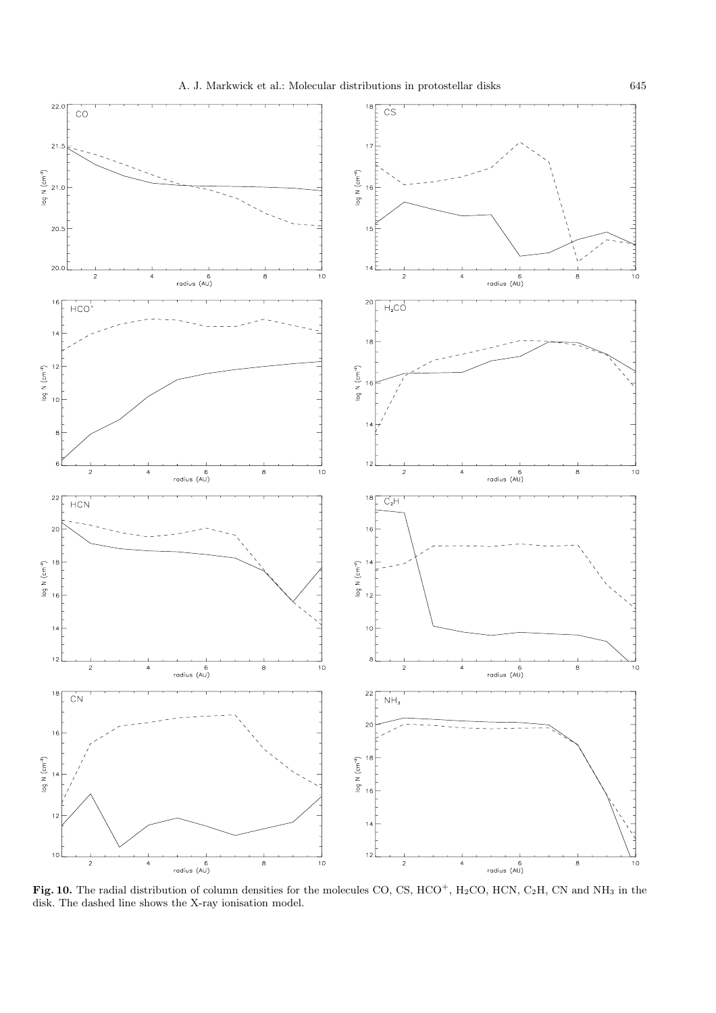$22.0$ 

 $21.$ 

 $\frac{2}{\log 2}$ <br>21.0

 $20.$ 

 $20.0$ 

 $16$ 

 $\mathbf{1}$ 

 $11$ 

22

20

 $\log$  N (cm<sup>-2</sup>)  $\overline{1}$ 

 $\mathbf{1}$ 

 $\mathbf{1}$ 

18

 $16$ 

 $\mathbf{1}$ 

 $\overline{1}$ 

 $10$ 

 $\overline{2}$ 

 $6$ <br>radius  $(AU)$ 

 $\overline{4}$ 

log N (cm<sup>-2</sup>)

log N (cm<sup>-2</sup>)  $\mathbf{1}$ 



Fig. 10. The radial distribution of column densities for the molecules CO, CS, HCO<sup>+</sup>, H<sub>2</sub>CO, HCN, C<sub>2</sub>H, CN and NH<sub>3</sub> in the disk. The dashed line shows the X-ray ionisation model.

 $\frac{1}{10}$ 

8

 $\ddot{\phantom{a}}$ 

 $12$ 

 $\overline{2}$ 

 $rac{6}{\text{radius} (\text{AU})}$ 

 $\overline{4}$ 

 $\frac{1}{10}$ 

 $\bf8$